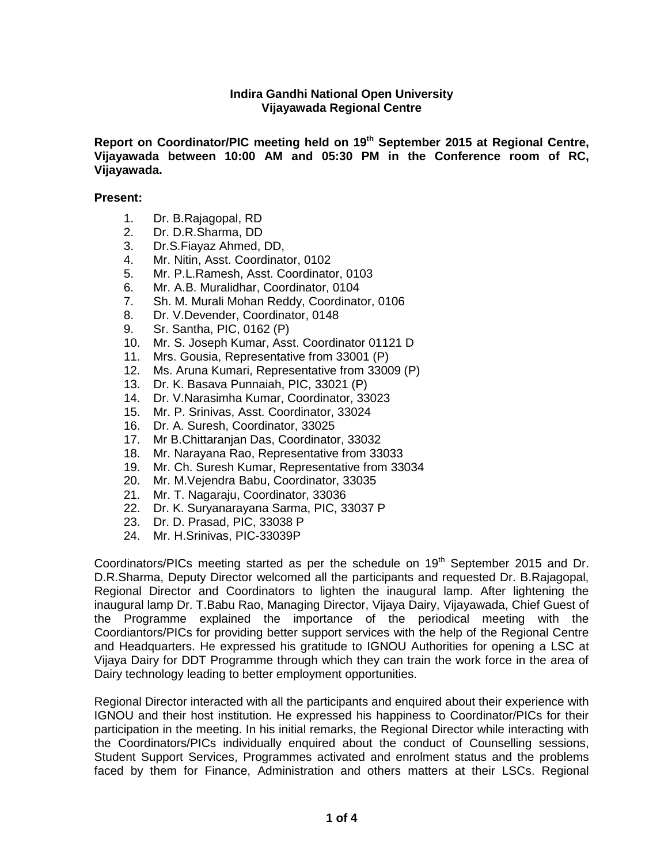## **Indira Gandhi National Open University Vijayawada Regional Centre**

**Report on Coordinator/PIC meeting held on 19th September 2015 at Regional Centre, Vijayawada between 10:00 AM and 05:30 PM in the Conference room of RC, Vijayawada.**

## **Present:**

- 1. Dr. B.Rajagopal, RD
- 2. Dr. D.R.Sharma, DD
- 3. Dr.S.Fiayaz Ahmed, DD,
- 4. Mr. Nitin, Asst. Coordinator, 0102
- 5. Mr. P.L.Ramesh, Asst. Coordinator, 0103
- 6. Mr. A.B. Muralidhar, Coordinator, 0104
- 7. Sh. M. Murali Mohan Reddy, Coordinator, 0106
- 8. Dr. V.Devender, Coordinator, 0148
- 9. Sr. Santha, PIC, 0162 (P)
- 10. Mr. S. Joseph Kumar, Asst. Coordinator 01121 D
- 11. Mrs. Gousia, Representative from 33001 (P)
- 12. Ms. Aruna Kumari, Representative from 33009 (P)
- 13. Dr. K. Basava Punnaiah, PIC, 33021 (P)
- 14. Dr. V.Narasimha Kumar, Coordinator, 33023
- 15. Mr. P. Srinivas, Asst. Coordinator, 33024
- 16. Dr. A. Suresh, Coordinator, 33025
- 17. Mr B.Chittaranjan Das, Coordinator, 33032
- 18. Mr. Narayana Rao, Representative from 33033
- 19. Mr. Ch. Suresh Kumar, Representative from 33034
- 20. Mr. M.Vejendra Babu, Coordinator, 33035
- 21. Mr. T. Nagaraju, Coordinator, 33036
- 22. Dr. K. Suryanarayana Sarma, PIC, 33037 P
- 23. Dr. D. Prasad, PIC, 33038 P
- 24. Mr. H.Srinivas, PIC-33039P

Coordinators/PICs meeting started as per the schedule on 19<sup>th</sup> September 2015 and Dr. D.R.Sharma, Deputy Director welcomed all the participants and requested Dr. B.Rajagopal, Regional Director and Coordinators to lighten the inaugural lamp. After lightening the inaugural lamp Dr. T.Babu Rao, Managing Director, Vijaya Dairy, Vijayawada, Chief Guest of the Programme explained the importance of the periodical meeting with the Coordiantors/PICs for providing better support services with the help of the Regional Centre and Headquarters. He expressed his gratitude to IGNOU Authorities for opening a LSC at Vijaya Dairy for DDT Programme through which they can train the work force in the area of Dairy technology leading to better employment opportunities.

Regional Director interacted with all the participants and enquired about their experience with IGNOU and their host institution. He expressed his happiness to Coordinator/PICs for their participation in the meeting. In his initial remarks, the Regional Director while interacting with the Coordinators/PICs individually enquired about the conduct of Counselling sessions, Student Support Services, Programmes activated and enrolment status and the problems faced by them for Finance, Administration and others matters at their LSCs. Regional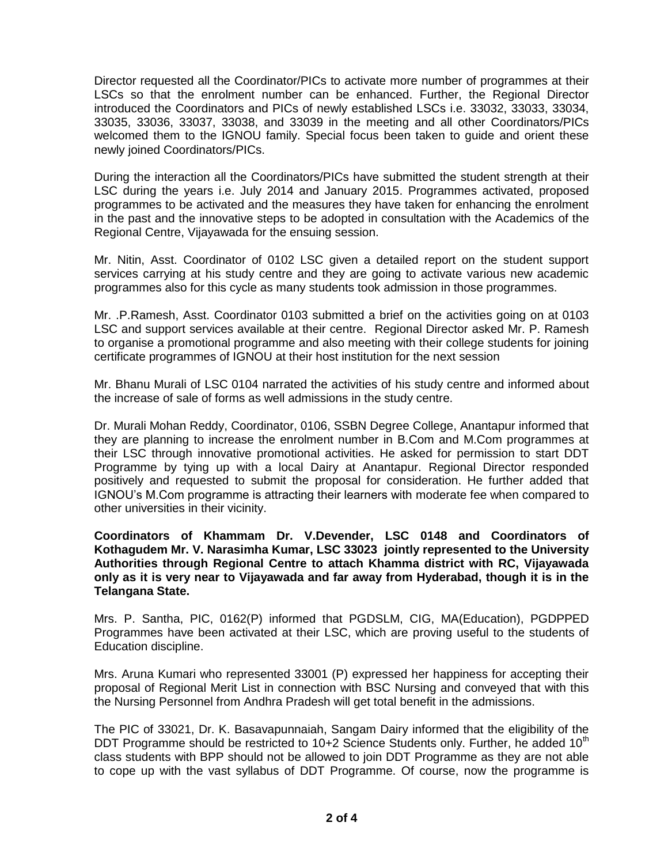Director requested all the Coordinator/PICs to activate more number of programmes at their LSCs so that the enrolment number can be enhanced. Further, the Regional Director introduced the Coordinators and PICs of newly established LSCs i.e. 33032, 33033, 33034, 33035, 33036, 33037, 33038, and 33039 in the meeting and all other Coordinators/PICs welcomed them to the IGNOU family. Special focus been taken to guide and orient these newly joined Coordinators/PICs.

During the interaction all the Coordinators/PICs have submitted the student strength at their LSC during the years i.e. July 2014 and January 2015. Programmes activated, proposed programmes to be activated and the measures they have taken for enhancing the enrolment in the past and the innovative steps to be adopted in consultation with the Academics of the Regional Centre, Vijayawada for the ensuing session.

Mr. Nitin, Asst. Coordinator of 0102 LSC given a detailed report on the student support services carrying at his study centre and they are going to activate various new academic programmes also for this cycle as many students took admission in those programmes.

Mr. .P.Ramesh, Asst. Coordinator 0103 submitted a brief on the activities going on at 0103 LSC and support services available at their centre. Regional Director asked Mr. P. Ramesh to organise a promotional programme and also meeting with their college students for joining certificate programmes of IGNOU at their host institution for the next session

Mr. Bhanu Murali of LSC 0104 narrated the activities of his study centre and informed about the increase of sale of forms as well admissions in the study centre.

Dr. Murali Mohan Reddy, Coordinator, 0106, SSBN Degree College, Anantapur informed that they are planning to increase the enrolment number in B.Com and M.Com programmes at their LSC through innovative promotional activities. He asked for permission to start DDT Programme by tying up with a local Dairy at Anantapur. Regional Director responded positively and requested to submit the proposal for consideration. He further added that IGNOU's M.Com programme is attracting their learners with moderate fee when compared to other universities in their vicinity.

**Coordinators of Khammam Dr. V.Devender, LSC 0148 and Coordinators of Kothagudem Mr. V. Narasimha Kumar, LSC 33023 jointly represented to the University Authorities through Regional Centre to attach Khamma district with RC, Vijayawada only as it is very near to Vijayawada and far away from Hyderabad, though it is in the Telangana State.**

Mrs. P. Santha, PIC, 0162(P) informed that PGDSLM, CIG, MA(Education), PGDPPED Programmes have been activated at their LSC, which are proving useful to the students of Education discipline.

Mrs. Aruna Kumari who represented 33001 (P) expressed her happiness for accepting their proposal of Regional Merit List in connection with BSC Nursing and conveyed that with this the Nursing Personnel from Andhra Pradesh will get total benefit in the admissions.

The PIC of 33021, Dr. K. Basavapunnaiah, Sangam Dairy informed that the eligibility of the DDT Programme should be restricted to  $10+2$  Science Students only. Further, he added  $10<sup>th</sup>$ class students with BPP should not be allowed to join DDT Programme as they are not able to cope up with the vast syllabus of DDT Programme. Of course, now the programme is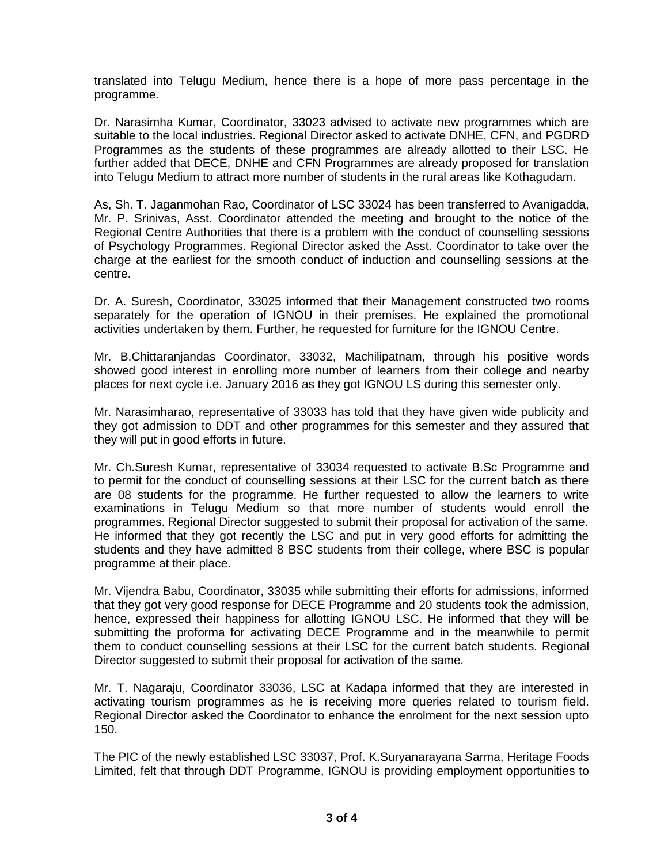translated into Telugu Medium, hence there is a hope of more pass percentage in the programme.

Dr. Narasimha Kumar, Coordinator, 33023 advised to activate new programmes which are suitable to the local industries. Regional Director asked to activate DNHE, CFN, and PGDRD Programmes as the students of these programmes are already allotted to their LSC. He further added that DECE, DNHE and CFN Programmes are already proposed for translation into Telugu Medium to attract more number of students in the rural areas like Kothagudam.

As, Sh. T. Jaganmohan Rao, Coordinator of LSC 33024 has been transferred to Avanigadda, Mr. P. Srinivas, Asst. Coordinator attended the meeting and brought to the notice of the Regional Centre Authorities that there is a problem with the conduct of counselling sessions of Psychology Programmes. Regional Director asked the Asst. Coordinator to take over the charge at the earliest for the smooth conduct of induction and counselling sessions at the centre.

Dr. A. Suresh, Coordinator, 33025 informed that their Management constructed two rooms separately for the operation of IGNOU in their premises. He explained the promotional activities undertaken by them. Further, he requested for furniture for the IGNOU Centre.

Mr. B.Chittaranjandas Coordinator, 33032, Machilipatnam, through his positive words showed good interest in enrolling more number of learners from their college and nearby places for next cycle i.e. January 2016 as they got IGNOU LS during this semester only.

Mr. Narasimharao, representative of 33033 has told that they have given wide publicity and they got admission to DDT and other programmes for this semester and they assured that they will put in good efforts in future.

Mr. Ch.Suresh Kumar, representative of 33034 requested to activate B.Sc Programme and to permit for the conduct of counselling sessions at their LSC for the current batch as there are 08 students for the programme. He further requested to allow the learners to write examinations in Telugu Medium so that more number of students would enroll the programmes. Regional Director suggested to submit their proposal for activation of the same. He informed that they got recently the LSC and put in very good efforts for admitting the students and they have admitted 8 BSC students from their college, where BSC is popular programme at their place.

Mr. Vijendra Babu, Coordinator, 33035 while submitting their efforts for admissions, informed that they got very good response for DECE Programme and 20 students took the admission, hence, expressed their happiness for allotting IGNOU LSC. He informed that they will be submitting the proforma for activating DECE Programme and in the meanwhile to permit them to conduct counselling sessions at their LSC for the current batch students. Regional Director suggested to submit their proposal for activation of the same.

Mr. T. Nagaraju, Coordinator 33036, LSC at Kadapa informed that they are interested in activating tourism programmes as he is receiving more queries related to tourism field. Regional Director asked the Coordinator to enhance the enrolment for the next session upto 150.

The PIC of the newly established LSC 33037, Prof. K.Suryanarayana Sarma, Heritage Foods Limited, felt that through DDT Programme, IGNOU is providing employment opportunities to